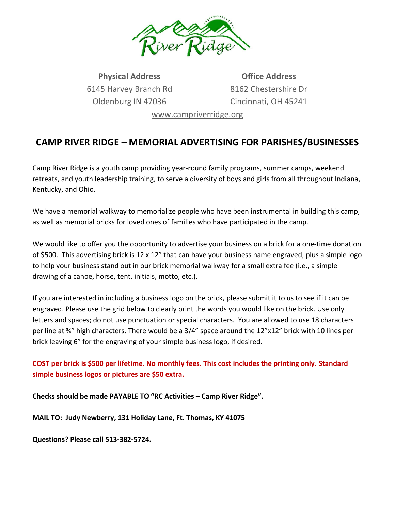

**Physical Address** 6145 Harvey Branch Rd Oldenburg IN 47036

**Office Address** 8162 Chestershire Dr Cincinnati, OH 45241

[www.campriverridge.org](http://www.campriverridge.org/)

## **CAMP RIVER RIDGE – MEMORIAL ADVERTISING FOR PARISHES/BUSINESSES**

Camp River Ridge is a youth camp providing year-round family programs, summer camps, weekend retreats, and youth leadership training, to serve a diversity of boys and girls from all throughout Indiana, Kentucky, and Ohio.

We have a memorial walkway to memorialize people who have been instrumental in building this camp, as well as memorial bricks for loved ones of families who have participated in the camp.

We would like to offer you the opportunity to advertise your business on a brick for a one-time donation of \$500. This advertising brick is 12 x 12" that can have your business name engraved, plus a simple logo to help your business stand out in our brick memorial walkway for a small extra fee (i.e., a simple drawing of a canoe, horse, tent, initials, motto, etc.).

If you are interested in including a business logo on the brick, please submit it to us to see if it can be engraved. Please use the grid below to clearly print the words you would like on the brick. Use only letters and spaces; do not use punctuation or special characters. You are allowed to use 18 characters per line at ¾" high characters. There would be a 3/4" space around the 12"x12" brick with 10 lines per brick leaving 6" for the engraving of your simple business logo, if desired.

**COST per brick is \$500 per lifetime. No monthly fees. This cost includes the printing only. Standard simple business logos or pictures are \$50 extra.**

**Checks should be made PAYABLE TO "RC Activities – Camp River Ridge".** 

**MAIL TO: Judy Newberry, 131 Holiday Lane, Ft. Thomas, KY 41075**

**Questions? Please call 513-382-5724.**